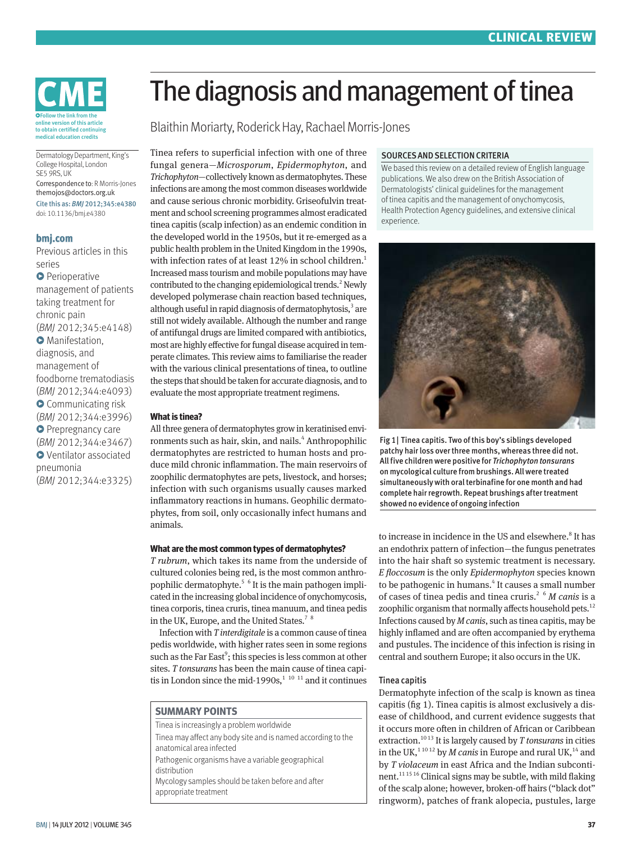

Dermatology Department, King's College Hospital, London SE5 9RS, UK Correspondence to: R Morris-Jones themojos@doctors.org.uk Cite this as: *BMJ* 2012;345:e4380 doi: 10.1136/bmj.e4380

## **bmj.com**

Previous articles in this series **O** Perioperative management of patients taking treatment for chronic pain (*BMJ* 2012;345:e4148) **O** Manifestation, diagnosis, and management of foodborne trematodiasis (*BMJ* 2012;344:e4093) **O** Communicating risk (*BMJ* 2012;344:e3996) **O** Prepregnancy care (*BMJ* 2012;344:e3467) **O** Ventilator associated pneumonia

(*BMJ* 2012;344:e3325)

# The diagnosis and management of tinea

Blaithin Moriarty, Roderick Hay, Rachael Morris-Jones

Tinea refers to superficial infection with one of three fungal genera—*Microsporum*, *Epidermophyton*, and *Trichophyton*—collectively known as dermatophytes. These infections are among the most common diseases worldwide and cause serious chronic morbidity. Griseofulvin treatment and school screening programmes almost eradicated tinea capitis (scalp infection) as an endemic condition in the developed world in the 1950s, but it re-emerged as a public health problem in the United Kingdom in the 1990s, with infection rates of at least 12% in school children.<sup>1</sup> Increased mass tourism and mobile populations may have contributed to the changing epidemiological trends.<sup>2</sup> Newly developed polymerase chain reaction based techniques, although useful in rapid diagnosis of dermatophytosis,<sup>3</sup> are still not widely available. Although the number and range of antifungal drugs are limited compared with antibiotics, most are highly effective for fungal disease acquired in temperate climates. This review aims to familiarise the reader with the various clinical presentations of tinea, to outline the steps that should be taken for accurate diagnosis, and to evaluate the most appropriate treatment regimens.

#### **What is tinea?**

All three genera of dermatophytes grow in keratinised environments such as hair, skin, and nails.<sup>4</sup> Anthropophilic dermatophytes are restricted to human hosts and produce mild chronic inflammation. The main reservoirs of zoophilic dermatophytes are pets, livestock, and horses; infection with such organisms usually causes marked inflammatory reactions in humans. Geophilic dermatophytes, from soil, only occasionally infect humans and animals.

## **What are the most common types of dermatophytes?**

*T rubrum*, which takes its name from the underside of cultured colonies being red, is the most common anthropophilic dermatophyte.<sup>5</sup> <sup>6</sup> It is the main pathogen implicated in the increasing global incidence of onychomycosis, tinea corporis, tinea cruris, tinea manuum, and tinea pedis in the UK, Europe, and the United States.<sup>78</sup>

Infection with *T interdigitale* is a common cause of tinea pedis worldwide, with higher rates seen in some regions such as the Far East<sup>9</sup>; this species is less common at other sites. *T tonsurans* has been the main cause of tinea capitis in London since the mid-1990s, $1^{10}$   $11$  and it continues

#### **SUMMARY POINTS**

Tinea is increasingly a problem worldwide

Tinea may affect any body site and is named according to the anatomical area infected

Pathogenic organisms have a variable geographical distribution

Mycology samples should be taken before and after appropriate treatment

## SOURCES AND SELECTION CRITERIA

We based this review on a detailed review of English language publications. We also drew on the British Association of Dermatologists' clinical guidelines for the management of tinea capitis and the management of onychomycosis, Health Protection Agency guidelines, and extensive clinical experience.



Fig 1| Tinea capitis. Two of this boy's siblings developed patchy hair loss over three months, whereas three did not. All five children were positive for *Trichophyton tonsurans* on mycological culture from brushings. All were treated simultaneously with oral terbinafine for one month and had complete hair regrowth. Repeat brushings after treatment showed no evidence of ongoing infection

to increase in incidence in the US and elsewhere.<sup>8</sup> It has an endothrix pattern of infection—the fungus penetrates into the hair shaft so systemic treatment is necessary. *E floccosum* is the only *Epidermophyton* species known to be pathogenic in humans.<sup>4</sup> It causes a small number of cases of tinea pedis and tinea cruris.2 <sup>6</sup> *M canis* is a zoophilic organism that normally affects household pets.<sup>12</sup> Infections caused by *M canis*, such as tinea capitis, may be highly inflamed and are often accompanied by erythema and pustules. The incidence of this infection is rising in central and southern Europe; it also occurs in the UK.

## Tinea capitis

Dermatophyte infection of the scalp is known as tinea capitis (fig 1). Tinea capitis is almost exclusively a disease of childhood, and current evidence suggests that it occurs more often in children of African or Caribbean extraction.<sup>1013</sup> It is largely caused by *T tonsurans* in cities in the UK,<sup>11012</sup> by *M canis* in Europe and rural UK,<sup>14</sup> and by *T violaceum* in east Africa and the Indian subcontinent.11 15 16 Clinical signs may be subtle, with mild flaking of the scalp alone; however, broken-off hairs ("black dot" ringworm), patches of frank alopecia, pustules, large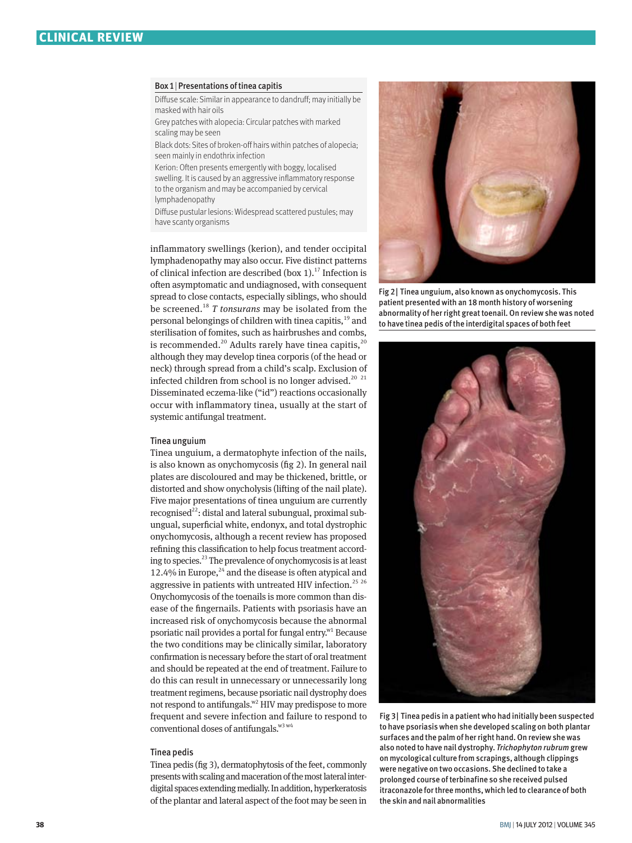#### Box 1|Presentations of tinea capitis

Diffuse scale: Similar in appearance to dandruff; may initially be masked with hair oils Grey patches with alopecia: Circular patches with marked scaling may be seen Black dots: Sites of broken-off hairs within patches of alopecia; seen mainly in endothrix infection Kerion: Often presents emergently with boggy, localised

swelling. It is caused by an aggressive inflammatory response to the organism and may be accompanied by cervical lymphadenopathy

Diffuse pustular lesions: Widespread scattered pustules; may have scanty organisms

inflammatory swellings (kerion), and tender occipital lymphadenopathy may also occur. Five distinct patterns of clinical infection are described (box  $1$ ).<sup>17</sup> Infection is often asymptomatic and undiagnosed, with consequent spread to close contacts, especially siblings, who should be screened.<sup>18</sup> *T tonsurans* may be isolated from the personal belongings of children with tinea capitis,19 and sterilisation of fomites, such as hairbrushes and combs, is recommended.<sup>20</sup> Adults rarely have tinea capitis,<sup>20</sup> although they may develop tinea corporis (of the head or neck) through spread from a child's scalp. Exclusion of infected children from school is no longer advised.<sup>20</sup><sup>21</sup> Disseminated eczema-like ("id") reactions occasionally occur with inflammatory tinea, usually at the start of systemic antifungal treatment.

#### Tinea unguium

Tinea unguium, a dermatophyte infection of the nails, is also known as onychomycosis (fig 2). In general nail plates are discoloured and may be thickened, brittle, or distorted and show onycholysis (lifting of the nail plate). Five major presentations of tinea unguium are currently  $recognised^{22}$ : distal and lateral subungual, proximal subungual, superficial white, endonyx, and total dystrophic onychomycosis, although a recent review has proposed refining this classification to help focus treatment according to species.23 The prevalence of onychomycosis is at least 12.4% in Europe, $24$  and the disease is often atypical and aggressive in patients with untreated HIV infection.<sup>25 26</sup> Onychomycosis of the toenails is more common than disease of the fingernails. Patients with psoriasis have an increased risk of onychomycosis because the abnormal psoriatic nail provides a portal for fungal entry. $w_1$  Because the two conditions may be clinically similar, laboratory confirmation is necessary before the start of oral treatment and should be repeated at the end of treatment. Failure to do this can result in unnecessary or unnecessarily long treatment regimens, because psoriatic nail dystrophy does not respond to antifungals.<sup>w2</sup> HIV may predispose to more frequent and severe infection and failure to respond to conventional doses of antifungals. $^{w3 w4}$ 

#### Tinea pedis

Tinea pedis (fig 3), dermatophytosis of the feet, commonly presents with scaling and maceration of the most lateral interdigital spaces extending medially. In addition, hyperkeratosis of the plantar and lateral aspect of the foot may be seen in



Fig 2| Tinea unguium, also known as onychomycosis. This patient presented with an 18 month history of worsening abnormality of her right great toenail. On review she was noted to have tinea pedis of the interdigital spaces of both feet



Fig 3| Tinea pedis in a patient who had initially been suspected to have psoriasis when she developed scaling on both plantar surfaces and the palm of her right hand. On review she was also noted to have nail dystrophy. *Trichophyton rubrum* grew on mycological culture from scrapings, although clippings were negative on two occasions. She declined to take a prolonged course of terbinafine so she received pulsed itraconazole for three months, which led to clearance of both the skin and nail abnormalities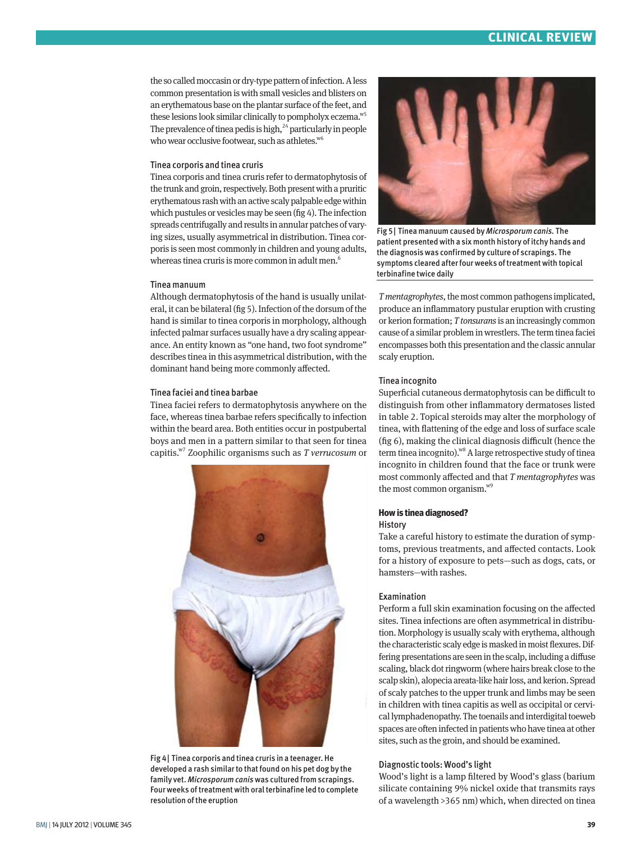the so called moccasin or dry-type pattern of infection. A less common presentation is with small vesicles and blisters on an erythematous base on the plantar surface of the feet, and these lesions look similar clinically to pompholyx eczema.<sup>w5</sup> The prevalence of tinea pedis is high, $^{24}$  particularly in people who wear occlusive footwear, such as athletes.<sup>w6</sup>

#### Tinea corporis and tinea cruris

Tinea corporis and tinea cruris refer to dermatophytosis of the trunk and groin, respectively. Both present with a pruritic erythematous rash with an active scaly palpable edge within which pustules or vesicles may be seen (fig 4). The infection spreads centrifugally and results in annular patches of varying sizes, usually asymmetrical in distribution. Tinea corporis is seen most commonly in children and young adults, whereas tinea cruris is more common in adult men.<sup>6</sup>

#### Tinea manuum

Although dermatophytosis of the hand is usually unilateral, it can be bilateral (fig 5). Infection of the dorsum of the hand is similar to tinea corporis in morphology, although infected palmar surfaces usually have a dry scaling appearance. An entity known as "one hand, two foot syndrome" describes tinea in this asymmetrical distribution, with the dominant hand being more commonly affected.

### Tinea faciei and tinea barbae

Tinea faciei refers to dermatophytosis anywhere on the face, whereas tinea barbae refers specifically to infection within the beard area. Both entities occur in postpubertal boys and men in a pattern similar to that seen for tinea capitis.w7 Zoophilic organisms such as *T verrucosum* or



Fig 4| Tinea corporis and tinea cruris in a teenager. He developed a rash similar to that found on his pet dog by the family vet. *Microsporum canis* was cultured from scrapings. Four weeks of treatment with oral terbinafine led to complete resolution of the eruption



Fig 5| Tinea manuum caused by *Microsporum canis.* The patient presented with a six month history of itchy hands and the diagnosis was confirmed by culture of scrapings. The symptoms cleared after four weeks of treatment with topical terbinafine twice daily

*T mentagrophytes*, the most common pathogens implicated, produce an inflammatory pustular eruption with crusting or kerion formation; *T tonsurans* is an increasingly common cause of a similar problem in wrestlers. The term tinea faciei encompasses both this presentation and the classic annular scaly eruption.

#### Tinea incognito

Superficial cutaneous dermatophytosis can be difficult to distinguish from other inflammatory dermatoses listed in table 2. Topical steroids may alter the morphology of tinea, with flattening of the edge and loss of surface scale (fig 6), making the clinical diagnosis difficult (hence the term tinea incognito).<sup>w8</sup> A large retrospective study of tinea incognito in children found that the face or trunk were most commonly affected and that *T mentagrophytes* was the most common organism.<sup>w9</sup>

## **How is tinea diagnosed?**

#### History

Take a careful history to estimate the duration of symptoms, previous treatments, and affected contacts. Look for a history of exposure to pets—such as dogs, cats, or hamsters—with rashes.

## Examination

Perform a full skin examination focusing on the affected sites. Tinea infections are often asymmetrical in distribution. Morphology is usually scaly with erythema, although the characteristic scaly edge is masked in moist flexures. Differing presentations are seen in the scalp, including a diffuse scaling, black dot ringworm (where hairs break close to the scalp skin), alopecia areata-like hair loss, and kerion. Spread of scaly patches to the upper trunk and limbs may be seen in children with tinea capitis as well as occipital or cervical lymphadenopathy. The toenails and interdigital toeweb spaces are often infected in patients who have tinea at other sites, such as the groin, and should be examined.

## Diagnostic tools: Wood's light

Wood's light is a lamp filtered by Wood's glass (barium silicate containing 9% nickel oxide that transmits rays of a wavelength >365 nm) which, when directed on tinea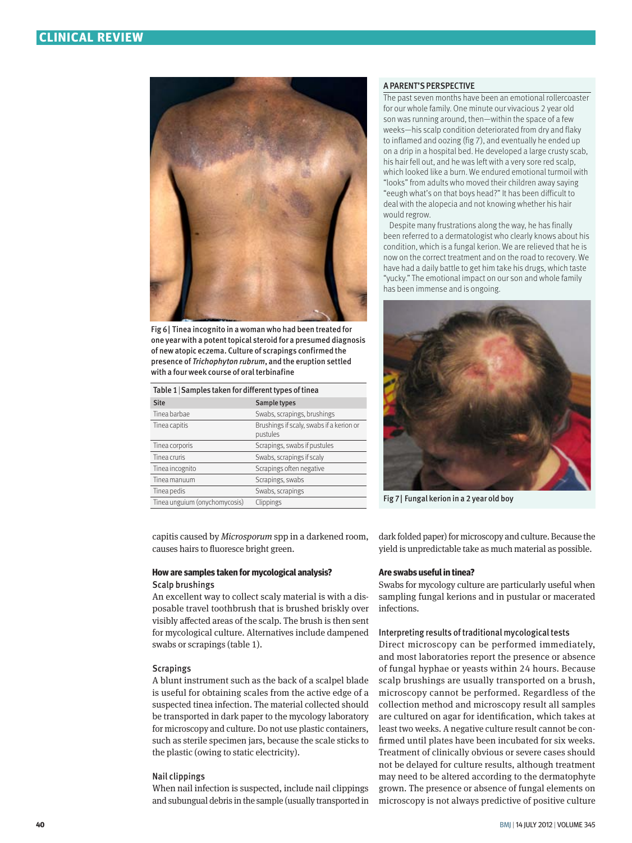

Fig 6| Tinea incognito in a woman who had been treated for one year with a potent topical steroid for a presumed diagnosis of new atopic eczema. Culture of scrapings confirmed the presence of *Trichophyton rubrum*, and the eruption settled with a four week course of oral terbinafine

| Table 1   Samples taken for different types of tinea |                                                      |  |  |  |
|------------------------------------------------------|------------------------------------------------------|--|--|--|
| <b>Site</b>                                          | Sample types                                         |  |  |  |
| Tinea barbae                                         | Swabs, scrapings, brushings                          |  |  |  |
| Tinea capitis                                        | Brushings if scaly, swabs if a kerion or<br>pustules |  |  |  |
| Tinea corporis                                       | Scrapings, swabs if pustules                         |  |  |  |
| Tinea cruris                                         | Swabs, scrapings if scaly                            |  |  |  |
| Tinea incognito                                      | Scrapings often negative                             |  |  |  |
| Tinea manuum                                         | Scrapings, swabs                                     |  |  |  |
| Tinea pedis                                          | Swabs, scrapings                                     |  |  |  |
| Tinea unguium (onychomycosis)                        | Clippings                                            |  |  |  |

capitis caused by *Microsporum* spp in a darkened room, causes hairs to fluoresce bright green.

# **How are samples taken for mycological analysis?** Scalp brushings

An excellent way to collect scaly material is with a disposable travel toothbrush that is brushed briskly over visibly affected areas of the scalp. The brush is then sent for mycological culture. Alternatives include dampened swabs or scrapings (table 1).

## Scrapings

A blunt instrument such as the back of a scalpel blade is useful for obtaining scales from the active edge of a suspected tinea infection. The material collected should be transported in dark paper to the mycology laboratory for microscopy and culture. Do not use plastic containers, such as sterile specimen jars, because the scale sticks to the plastic (owing to static electricity).

## Nail clippings

When nail infection is suspected, include nail clippings and subungual debris in the sample (usually transported in

### A PARENT'S PERSPECTIVE

The past seven months have been an emotional rollercoaster for our whole family. One minute our vivacious 2 year old son was running around, then—within the space of a few weeks—his scalp condition deteriorated from dry and flaky to inflamed and oozing (fig 7), and eventually he ended up on a drip in a hospital bed. He developed a large crusty scab, his hair fell out, and he was left with a very sore red scalp, which looked like a burn. We endured emotional turmoil with "looks" from adults who moved their children away saying "eeugh what's on that boys head?" It has been difficult to deal with the alopecia and not knowing whether his hair would regrow.

Despite many frustrations along the way, he has finally been referred to a dermatologist who clearly knows about his condition, which is a fungal kerion. We are relieved that he is now on the correct treatment and on the road to recovery. We have had a daily battle to get him take his drugs, which taste "yucky." The emotional impact on our son and whole family has been immense and is ongoing.



Fig 7| Fungal kerion in a 2 year old boy

dark folded paper) for microscopy and culture. Because the yield is unpredictable take as much material as possible.

## **Are swabs useful in tinea?**

Swabs for mycology culture are particularly useful when sampling fungal kerions and in pustular or macerated infections.

## Interpreting results of traditional mycological tests

Direct microscopy can be performed immediately, and most laboratories report the presence or absence of fungal hyphae or yeasts within 24 hours. Because scalp brushings are usually transported on a brush, microscopy cannot be performed. Regardless of the collection method and microscopy result all samples are cultured on agar for identification, which takes at least two weeks. A negative culture result cannot be confirmed until plates have been incubated for six weeks. Treatment of clinically obvious or severe cases should not be delayed for culture results, although treatment may need to be altered according to the dermatophyte grown. The presence or absence of fungal elements on microscopy is not always predictive of positive culture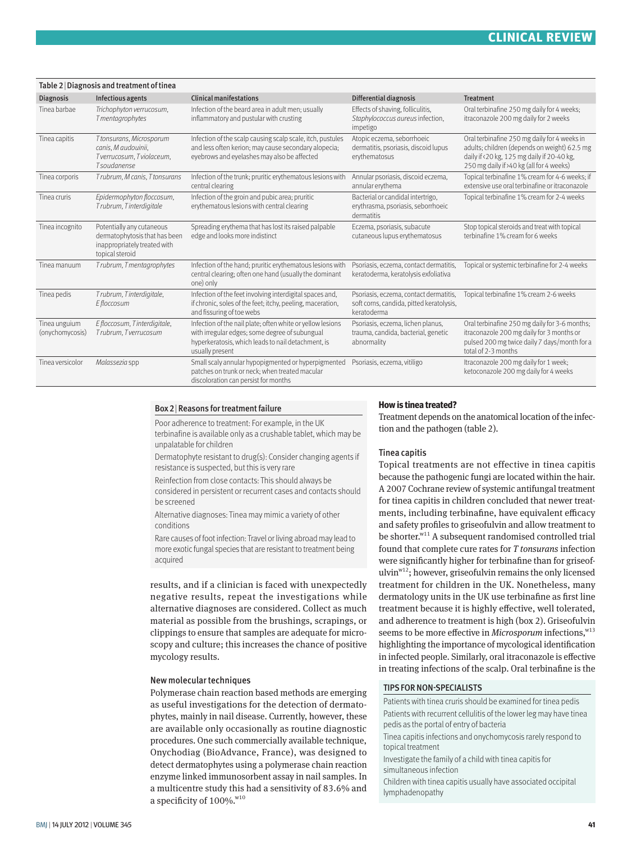| Table 2 Diagnosis and treatment of tinea |                                                                                                               |                                                                                                                                                                                       |                                                                                                   |                                                                                                                                                                                        |  |
|------------------------------------------|---------------------------------------------------------------------------------------------------------------|---------------------------------------------------------------------------------------------------------------------------------------------------------------------------------------|---------------------------------------------------------------------------------------------------|----------------------------------------------------------------------------------------------------------------------------------------------------------------------------------------|--|
| <b>Diagnosis</b>                         | Infectious agents                                                                                             | <b>Clinical manifestations</b>                                                                                                                                                        | Differential diagnosis                                                                            | <b>Treatment</b>                                                                                                                                                                       |  |
| Tinea barbae                             | Trichophyton verrucosum,<br><b>T</b> mentagrophytes                                                           | Infection of the beard area in adult men; usually<br>inflammatory and pustular with crusting                                                                                          | Effects of shaving, folliculitis,<br>Staphylococcus aureus infection,<br>impetigo                 | Oral terbinafine 250 mg daily for 4 weeks;<br>itraconazole 200 mg daily for 2 weeks                                                                                                    |  |
| Tinea capitis                            | Ttonsurans, Microsporum<br>canis, M audouinii,<br>Tverrucosum, Tviolaceum,<br>Tsoudanense                     | Infection of the scalp causing scalp scale, itch, pustules<br>and less often kerion; may cause secondary alopecia;<br>eyebrows and eyelashes may also be affected                     | Atopic eczema, seborrhoeic<br>dermatitis, psoriasis, discoid lupus<br>erythematosus               | Oral terbinafine 250 mg daily for 4 weeks in<br>adults; children (depends on weight) 62.5 mg<br>daily if <20 kg, 125 mg daily if 20-40 kg,<br>250 mg daily if >40 kg (all for 4 weeks) |  |
| Tinea corporis                           | Trubrum, M canis, T tonsurans                                                                                 | Infection of the trunk; pruritic erythematous lesions with<br>central clearing                                                                                                        | Annular psoriasis, discoid eczema,<br>annular erythema                                            | Topical terbinafine 1% cream for 4-6 weeks; if<br>extensive use oral terbinafine or itraconazole                                                                                       |  |
| Tinea cruris                             | Epidermophyton floccosum,<br>Trubrum, Tinterdigitale                                                          | Infection of the groin and pubic area; pruritic<br>erythematous lesions with central clearing                                                                                         | Bacterial or candidal intertrigo,<br>erythrasma, psoriasis, seborrhoeic<br>dermatitis             | Topical terbinafine 1% cream for 2-4 weeks                                                                                                                                             |  |
| Tinea incognito                          | Potentially any cutaneous<br>dermatophytosis that has been<br>inappropriately treated with<br>topical steroid | Spreading erythema that has lost its raised palpable<br>edge and looks more indistinct                                                                                                | Eczema, psoriasis, subacute<br>cutaneous lupus erythematosus                                      | Stop topical steroids and treat with topical<br>terbinafine 1% cream for 6 weeks                                                                                                       |  |
| Tinea manuum                             | Trubrum, Tmentagrophytes                                                                                      | Infection of the hand; pruritic erythematous lesions with<br>central clearing; often one hand (usually the dominant<br>one) only                                                      | Psoriasis, eczema, contact dermatitis,<br>keratoderma, keratolysis exfoliativa                    | Topical or systemic terbinafine for 2-4 weeks                                                                                                                                          |  |
| Tinea pedis                              | Trubrum, Tinterdigitale,<br>E floccosum                                                                       | Infection of the feet involving interdigital spaces and,<br>if chronic, soles of the feet; itchy, peeling, maceration,<br>and fissuring of toe webs                                   | Psoriasis, eczema, contact dermatitis,<br>soft corns, candida, pitted keratolysis,<br>keratoderma | Topical terbinafine 1% cream 2-6 weeks                                                                                                                                                 |  |
| Tinea unguium<br>(onychomycosis)         | E floccosum, Tinterdigitale,<br>Trubrum, Tverrucosum                                                          | Infection of the nail plate; often white or yellow lesions<br>with irregular edges; some degree of subungual<br>hyperkeratosis, which leads to nail detachment, is<br>usually present | Psoriasis, eczema, lichen planus,<br>trauma, candida, bacterial, genetic<br>abnormality           | Oral terbinafine 250 mg daily for 3-6 months;<br>itraconazole 200 mg daily for 3 months or<br>pulsed 200 mg twice daily 7 days/month for a<br>total of 2-3 months                      |  |
| Tinea versicolor                         | Malassezia spp                                                                                                | Small scaly annular hypopigmented or hyperpigmented<br>patches on trunk or neck; when treated macular<br>discoloration can persist for months                                         | Psoriasis, eczema, vitiligo                                                                       | Itraconazole 200 mg daily for 1 week;<br>ketoconazole 200 mg daily for 4 weeks                                                                                                         |  |

## Box 2|Reasons for treatment failure

Poor adherence to treatment: For example, in the UK

terbinafine is available only as a crushable tablet, which may be unpalatable for children

Dermatophyte resistant to drug(s): Consider changing agents if resistance is suspected, but this is very rare

Reinfection from close contacts: This should always be considered in persistent or recurrent cases and contacts should be screened

Alternative diagnoses: Tinea may mimic a variety of other conditions

Rare causes of foot infection: Travel or living abroad may lead to more exotic fungal species that are resistant to treatment being acquired

results, and if a clinician is faced with unexpectedly negative results, repeat the investigations while alternative diagnoses are considered. Collect as much material as possible from the brushings, scrapings, or clippings to ensure that samples are adequate for microscopy and culture; this increases the chance of positive mycology results.

## New molecular techniques

Polymerase chain reaction based methods are emerging as useful investigations for the detection of dermatophytes, mainly in nail disease. Currently, however, these are available only occasionally as routine diagnostic procedures. One such commercially available technique, Onychodiag (BioAdvance, France), was designed to detect dermatophytes using a polymerase chain reaction enzyme linked immunosorbent assay in nail samples. In a multicentre study this had a sensitivity of 83.6% and a specificity of 100%.<sup>w10</sup>

#### **How is tinea treated?**

Treatment depends on the anatomical location of the infection and the pathogen (table 2).

## Tinea capitis

Topical treatments are not effective in tinea capitis because the pathogenic fungi are located within the hair. A 2007 Cochrane review of systemic antifungal treatment for tinea capitis in children concluded that newer treatments, including terbinafine, have equivalent efficacy and safety profiles to griseofulvin and allow treatment to be shorter.<sup>w11</sup> A subsequent randomised controlled trial found that complete cure rates for *T tonsurans* infection were significantly higher for terbinafine than for griseofulvinw12; however, griseofulvin remains the only licensed treatment for children in the UK. Nonetheless, many dermatology units in the UK use terbinafine as first line treatment because it is highly effective, well tolerated, and adherence to treatment is high (box 2). Griseofulvin seems to be more effective in *Microsporum* infections,<sup>w13</sup> highlighting the importance of mycological identification in infected people. Similarly, oral itraconazole is effective in treating infections of the scalp. Oral terbinafine is the

### TIPS FOR NON-SPECIALISTS

Patients with tinea cruris should be examined for tinea pedis Patients with recurrent cellulitis of the lower leg may have tinea pedis as the portal of entry of bacteria

Tinea capitis infections and onychomycosis rarely respond to topical treatment

Investigate the family of a child with tinea capitis for simultaneous infection

Children with tinea capitis usually have associated occipital lymphadenopathy